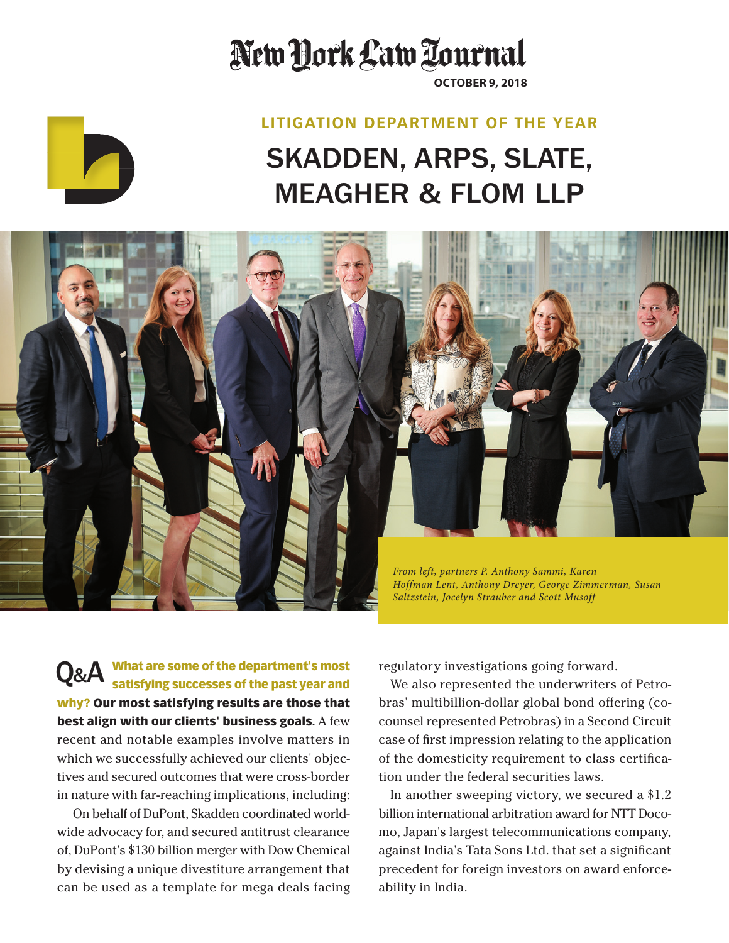## New York Law Tournal

**October 9, 2018**

## SKADDEN, ARPS, SLATE, Meagher & Flom LLP **Litigation Department of the Year**



What are some of the department's most satisfying successes of the past year and why? Our most satisfying results are those that best align with our clients' business goals. A few recent and notable examples involve matters in which we successfully achieved our clients' objectives and secured outcomes that were cross-border in nature with far-reaching implications, including: Q&A

On behalf of DuPont, Skadden coordinated worldwide advocacy for, and secured antitrust clearance of, DuPont's \$130 billion merger with Dow Chemical by devising a unique divestiture arrangement that can be used as a template for mega deals facing regulatory investigations going forward.

We also represented the underwriters of Petrobras' multibillion-dollar global bond offering (cocounsel represented Petrobras) in a Second Circuit case of first impression relating to the application of the domesticity requirement to class certification under the federal securities laws.

In another sweeping victory, we secured a \$1.2 billion international arbitration award for NTT Docomo, Japan's largest telecommunications company, against India's Tata Sons Ltd. that set a significant precedent for foreign investors on award enforceability in India.